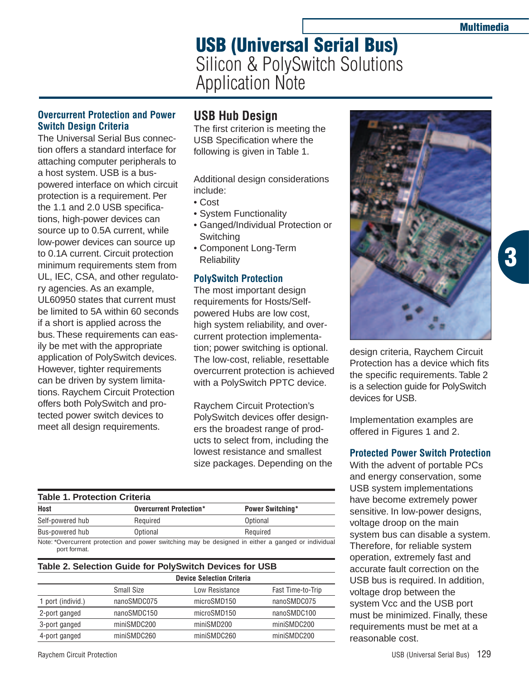**3**

# **USB (Universal Serial Bus)** Silicon & PolySwitch Solutions Application Note

## **Overcurrent Protection and Power Switch Design Criteria**

The Universal Serial Bus connection offers a standard interface for attaching computer peripherals to a host system. USB is a buspowered interface on which circuit protection is a requirement. Per the 1.1 and 2.0 USB specifications, high-power devices can source up to 0.5A current, while low-power devices can source up to 0.1A current. Circuit protection minimum requirements stem from UL, IEC, CSA, and other regulatory agencies. As an example, UL60950 states that current must be limited to 5A within 60 seconds if a short is applied across the bus. These requirements can easily be met with the appropriate application of PolySwitch devices. However, tighter requirements can be driven by system limitations. Raychem Circuit Protection offers both PolySwitch and protected power switch devices to meet all design requirements.

# **USB Hub Design**

The first criterion is meeting the USB Specification where the following is given in Table 1.

Additional design considerations include:

- Cost
- System Functionality
- Ganged/Individual Protection or **Switching**
- Component Long-Term **Reliability**

## **PolySwitch Protection**

The most important design requirements for Hosts/Selfpowered Hubs are low cost, high system reliability, and overcurrent protection implementation; power switching is optional. The low-cost, reliable, resettable overcurrent protection is achieved with a PolySwitch PPTC device.

Raychem Circuit Protection's PolySwitch devices offer designers the broadest range of products to select from, including the lowest resistance and smallest size packages. Depending on the

#### **Table 1. Protection Criteria**

| Host             | Overcurrent Protection*                                                                             | <b>Power Switching*</b> |  |
|------------------|-----------------------------------------------------------------------------------------------------|-------------------------|--|
| Self-powered hub | Reauired                                                                                            | Optional                |  |
| Bus-powered hub  | Optional                                                                                            | Required                |  |
|                  | Note: *Quarqurrant protogripp and nough quitabing may be decigned in either a general or individual |                         |  |

Note: \*Overcurrent protection and power switching may be designed in either a ganged or individual port format.

### **Table 2. Selection Guide for PolySwitch Devices for USB**

|                   | <b>Device Selection Criteria</b> |                |                   |
|-------------------|----------------------------------|----------------|-------------------|
|                   | <b>Small Size</b>                | Low Resistance | Fast Time-to-Trip |
| 1 port (individ.) | nanoSMDC075                      | microSMD150    | nanoSMDC075       |
| 2-port ganged     | nanoSMDC150                      | microSMD150    | nanoSMDC100       |
| 3-port ganged     | miniSMDC200                      | miniSMD200     | miniSMDC200       |
| 4-port ganged     | miniSMDC260                      | miniSMDC260    | miniSMDC200       |
|                   |                                  |                |                   |



design criteria, Raychem Circuit Protection has a device which fits the specific requirements. Table 2 is a selection guide for PolySwitch devices for USB.

Implementation examples are offered in Figures 1 and 2.

#### **Protected Power Switch Protection**

With the advent of portable PCs and energy conservation, some USB system implementations have become extremely power sensitive. In low-power designs, voltage droop on the main system bus can disable a system. Therefore, for reliable system operation, extremely fast and accurate fault correction on the USB bus is required. In addition, voltage drop between the system Vcc and the USB port must be minimized. Finally, these requirements must be met at a reasonable cost.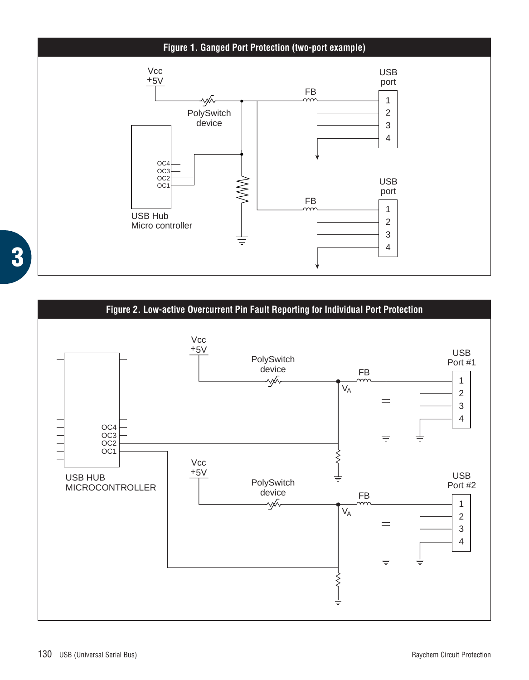

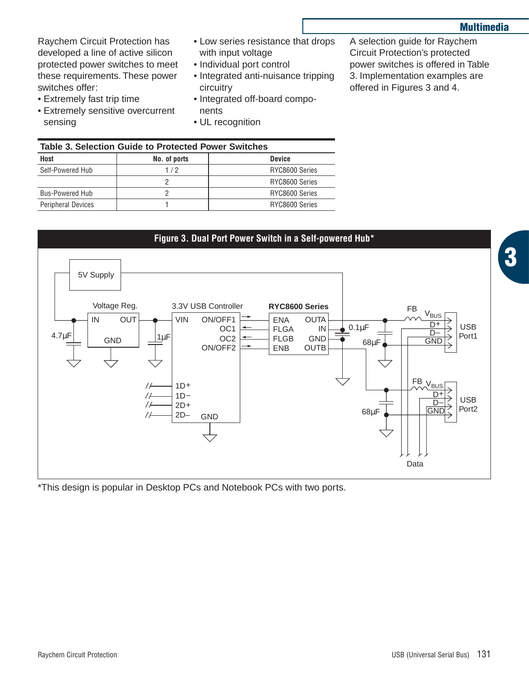**3**

Raychem Circuit Protection has developed a line of active silicon protected power switches to meet these requirements. These power switches offer:

- Extremely fast trip time
- Extremely sensitive overcurrent sensing
- Low series resistance that drops with input voltage
- Individual port control
- Integrated anti-nuisance tripping circuitry
- Integrated off-board components
- UL recognition

A selection guide for Raychem Circuit Protection's protected power switches is offered in Table 3. Implementation examples are offered in Figures 3 and 4.

| Table 3. Selection Guide to Protected Power Switches |              |                |  |  |
|------------------------------------------------------|--------------|----------------|--|--|
| Host                                                 | No. of ports | <b>Device</b>  |  |  |
| Self-Powered Hub                                     | 1/2          | RYC8600 Series |  |  |
|                                                      |              | RYC8600 Series |  |  |
| <b>Bus-Powered Hub</b>                               |              | RYC8600 Series |  |  |
| <b>Peripheral Devices</b>                            |              | RYC8600 Series |  |  |



\*This design is popular in Desktop PCs and Notebook PCs with two ports.